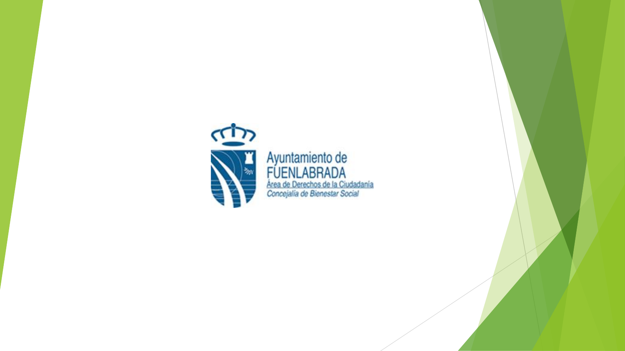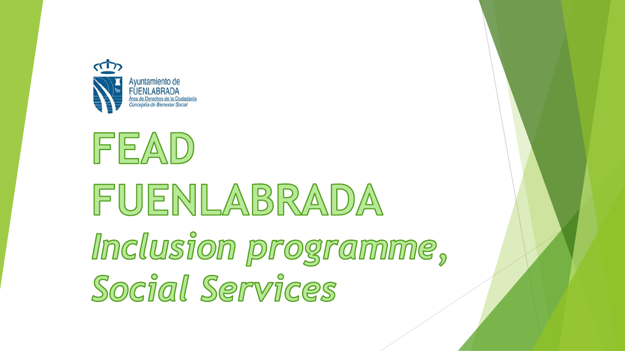



# FUENLABRADA Inclusion programme, Social Services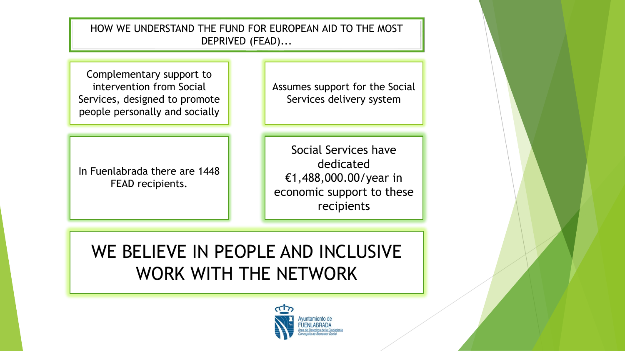HOW WE UNDERSTAND THE FUND FOR EUROPEAN AID TO THE MOST DEPRIVED (FEAD)...

Complementary support to intervention from Social Services, designed to promote people personally and socially

In Fuenlabrada there are 1448 FEAD recipients.

Assumes support for the Social Services delivery system

Social Services have dedicated €1,488,000.00/year in economic support to these recipients

# WE BELIEVE IN PEOPLE AND INCLUSIVE WORK WITH THE NETWORK

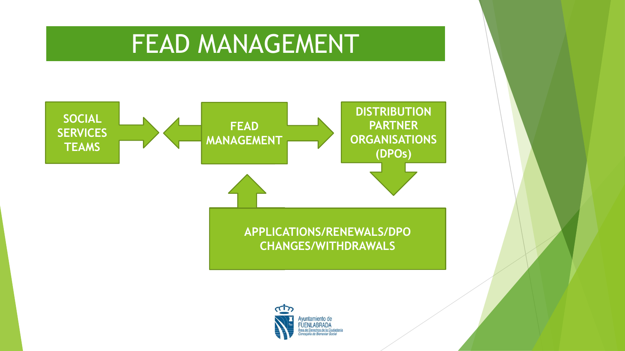# FEAD MANAGEMENT



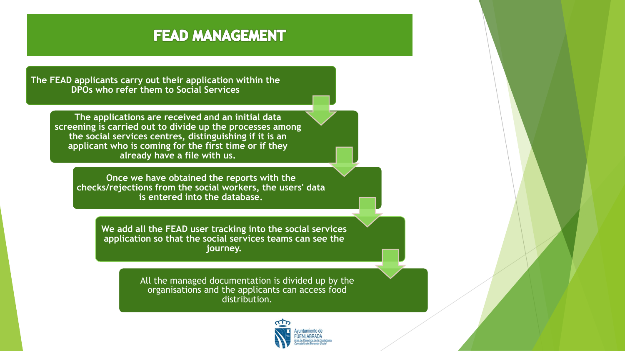#### **FEAD MANAGEMENT**

**The FEAD applicants carry out their application within the DPOs who refer them to Social Services**

**The applications are received and an initial data screening is carried out to divide up the processes among the social services centres, distinguishing if it is an applicant who is coming for the first time or if they already have a file with us.**

**Once we have obtained the reports with the checks/rejections from the social workers, the users' data is entered into the database.** 

**We add all the FEAD user tracking into the social services application so that the social services teams can see the journey.**

> All the managed documentation is divided up by the organisations and the applicants can access food distribution.

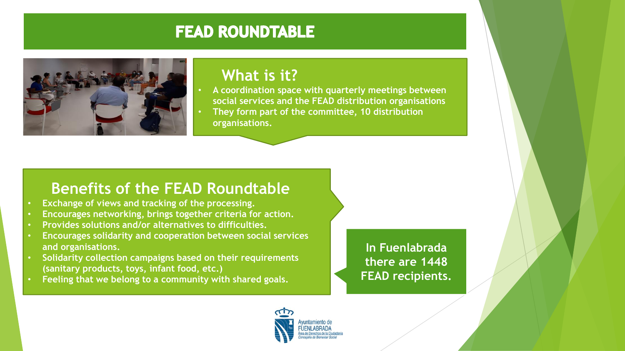## **FEAD ROUNDTABLE**



#### **What is it?**

• **A coordination space with quarterly meetings between social services and the FEAD distribution organisations**

• **They form part of the committee, 10 distribution organisations.**

#### **Benefits of the FEAD Roundtable**

- **Exchange of views and tracking of the processing.**
- **Encourages networking, brings together criteria for action.**
- **Provides solutions and/or alternatives to difficulties.**
- **Encourages solidarity and cooperation between social services and organisations.**
- **Solidarity collection campaigns based on their requirements (sanitary products, toys, infant food, etc.)**
- **Feeling that we belong to a community with shared goals.**

**In Fuenlabrada there are 1448 FEAD recipients.**

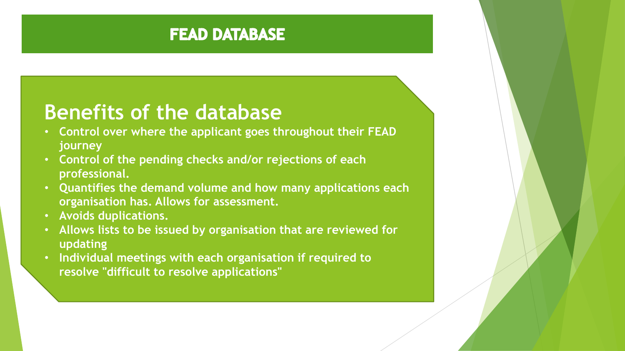#### **FEAD DATABASE**

# **Benefits of the database**

- **Control over where the applicant goes throughout their FEAD journey**
- **Control of the pending checks and/or rejections of each professional.**
- **Quantifies the demand volume and how many applications each organisation has. Allows for assessment.**
- **Avoids duplications.**
- **Allows lists to be issued by organisation that are reviewed for updating**
- **Individual meetings with each organisation if required to resolve "difficult to resolve applications"**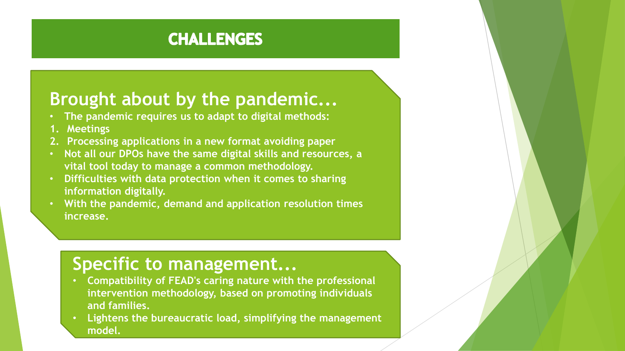

## **Brought about by the pandemic...**

- **The pandemic requires us to adapt to digital methods:**
- **1. Meetings**
- **2. Processing applications in a new format avoiding paper**
- **Not all our DPOs have the same digital skills and resources, a vital tool today to manage a common methodology.**
- **Difficulties with data protection when it comes to sharing information digitally.**
- **With the pandemic, demand and application resolution times increase.**

# **Specific to management...**

- **Compatibility of FEAD's caring nature with the professional intervention methodology, based on promoting individuals and families.**
- **Lightens the bureaucratic load, simplifying the management model.**